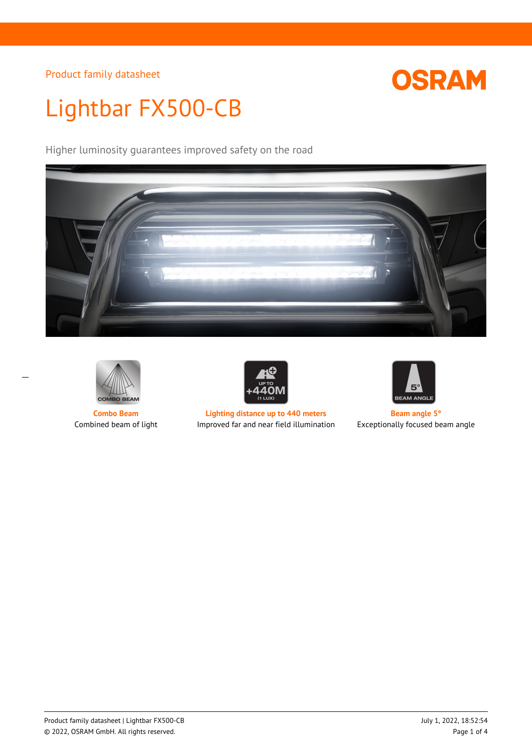## **OSRAM**

# Lightbar FX500-CB

Higher luminosity guarantees improved safety on the road





 $\overline{a}$ 



**Combo Beam Lighting distance up to 440 meters Beam angle 5°** Combined beam of light Improved far and near field illumination Exceptionally focused beam angle

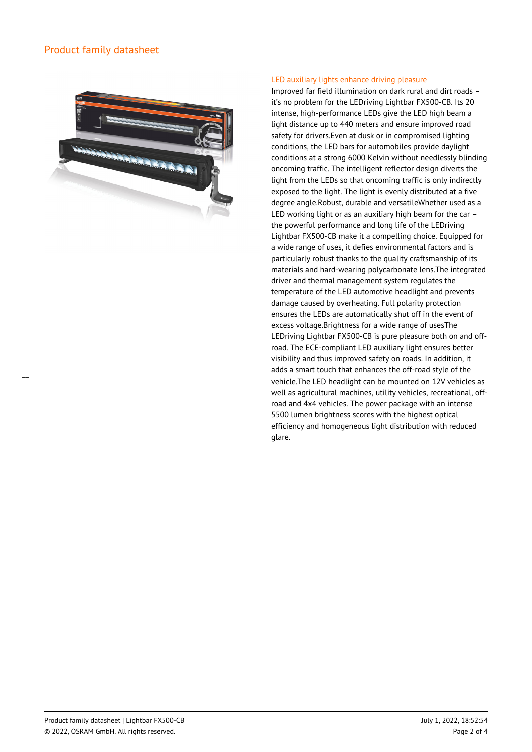$\overline{a}$ 



#### LED auxiliary lights enhance driving pleasure

Improved far field illumination on dark rural and dirt roads – it's no problem for the LEDriving Lightbar FX500-CB. Its 20 intense, high-performance LEDs give the LED high beam a light distance up to 440 meters and ensure improved road safety for drivers.Even at dusk or in compromised lighting conditions, the LED bars for automobiles provide daylight conditions at a strong 6000 Kelvin without needlessly blinding oncoming traffic. The intelligent reflector design diverts the light from the LEDs so that oncoming traffic is only indirectly exposed to the light. The light is evenly distributed at a five degree angle.Robust, durable and versatileWhether used as a LED working light or as an auxiliary high beam for the car – the powerful performance and long life of the LEDriving Lightbar FX500-CB make it a compelling choice. Equipped for a wide range of uses, it defies environmental factors and is particularly robust thanks to the quality craftsmanship of its materials and hard-wearing polycarbonate lens.The integrated driver and thermal management system regulates the temperature of the LED automotive headlight and prevents damage caused by overheating. Full polarity protection ensures the LEDs are automatically shut off in the event of excess voltage.Brightness for a wide range of usesThe LEDriving Lightbar FX500-CB is pure pleasure both on and offroad. The ECE-compliant LED auxiliary light ensures better visibility and thus improved safety on roads. In addition, it adds a smart touch that enhances the off-road style of the vehicle.The LED headlight can be mounted on 12V vehicles as well as agricultural machines, utility vehicles, recreational, offroad and 4x4 vehicles. The power package with an intense 5500 lumen brightness scores with the highest optical efficiency and homogeneous light distribution with reduced glare.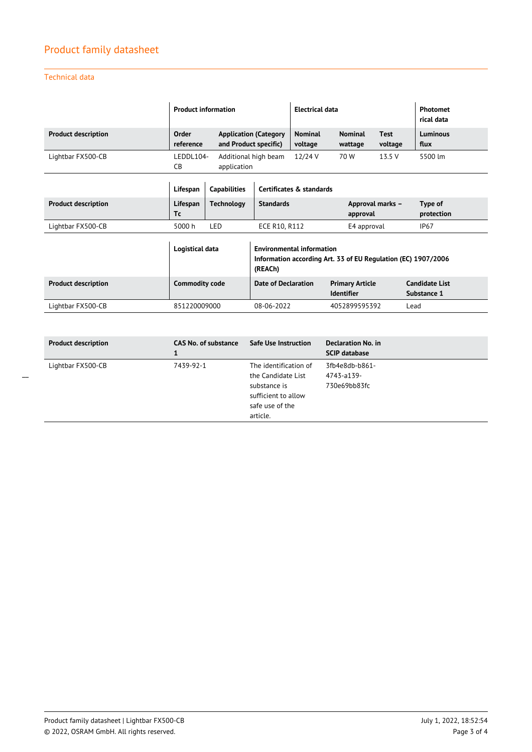### Technical data

|                            | <b>Product information</b> |                       |                                                                                                              | <b>Electrical data</b>    |                                             |                        | <b>Photomet</b><br>rical data        |
|----------------------------|----------------------------|-----------------------|--------------------------------------------------------------------------------------------------------------|---------------------------|---------------------------------------------|------------------------|--------------------------------------|
| <b>Product description</b> | Order<br>reference         | and Product specific) | <b>Application (Category</b>                                                                                 | <b>Nominal</b><br>voltage | <b>Nominal</b><br>wattage                   | <b>Test</b><br>voltage | Luminous<br>flux                     |
| Lightbar FX500-CB          | LEDDL104-<br>CB            | application           | Additional high beam                                                                                         | 12/24 V                   | 70 W                                        | 13.5 V                 | 5500 lm                              |
|                            | Lifespan                   | <b>Capabilities</b>   |                                                                                                              | Certificates & standards  |                                             |                        |                                      |
| <b>Product description</b> | Lifespan<br>Тc             | <b>Technology</b>     | <b>Standards</b>                                                                                             |                           | Approval marks -<br>approval                |                        | Type of<br>protection                |
| Lightbar FX500-CB          | 5000 h                     | LED                   | ECE R10, R112                                                                                                |                           | E4 approval                                 |                        | IP <sub>67</sub>                     |
|                            | Logistical data            |                       | <b>Environmental information</b><br>Information according Art. 33 of EU Regulation (EC) 1907/2006<br>(REACh) |                           |                                             |                        |                                      |
| <b>Product description</b> | <b>Commodity code</b>      |                       | <b>Date of Declaration</b>                                                                                   |                           | <b>Primary Article</b><br><b>Identifier</b> |                        | <b>Candidate List</b><br>Substance 1 |
| Lightbar FX500-CB          | 851220009000               |                       | 08-06-2022                                                                                                   | 4052899595392             |                                             | Lead                   |                                      |

| 1                              |                                                                                                                   | <b>SCIP database</b>                         |  |
|--------------------------------|-------------------------------------------------------------------------------------------------------------------|----------------------------------------------|--|
| 7439-92-1<br>Lightbar FX500-CB | The identification of<br>the Candidate List<br>substance is<br>sufficient to allow<br>safe use of the<br>article. | 3fb4e8db-b861-<br>4743-a139-<br>730e69bb83fc |  |